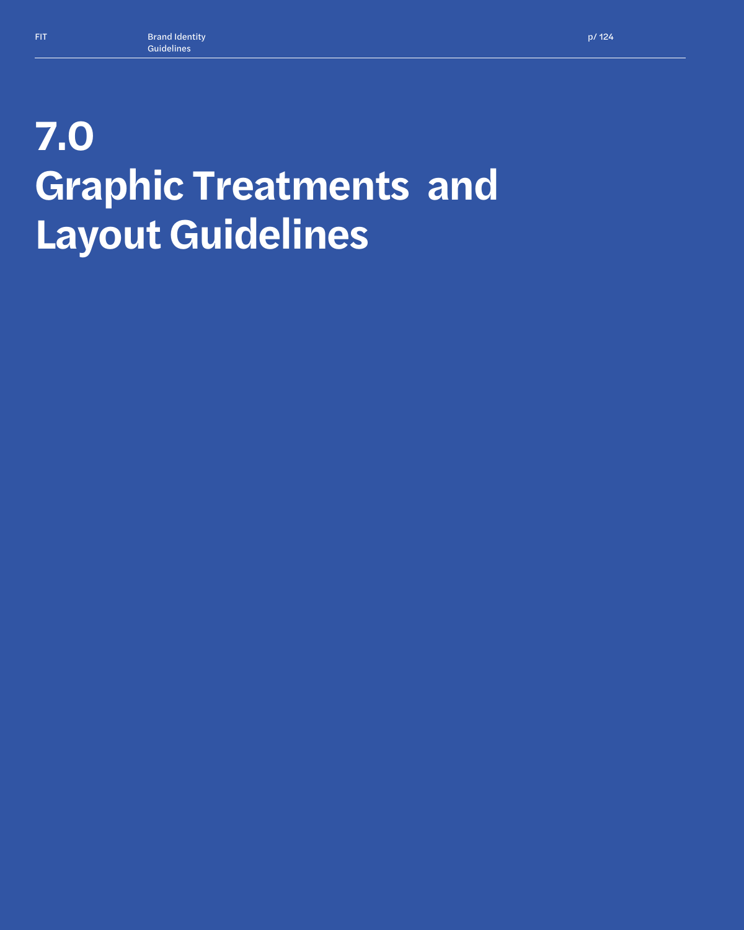# **7.0 Graphic Treatments and Layout Guidelines**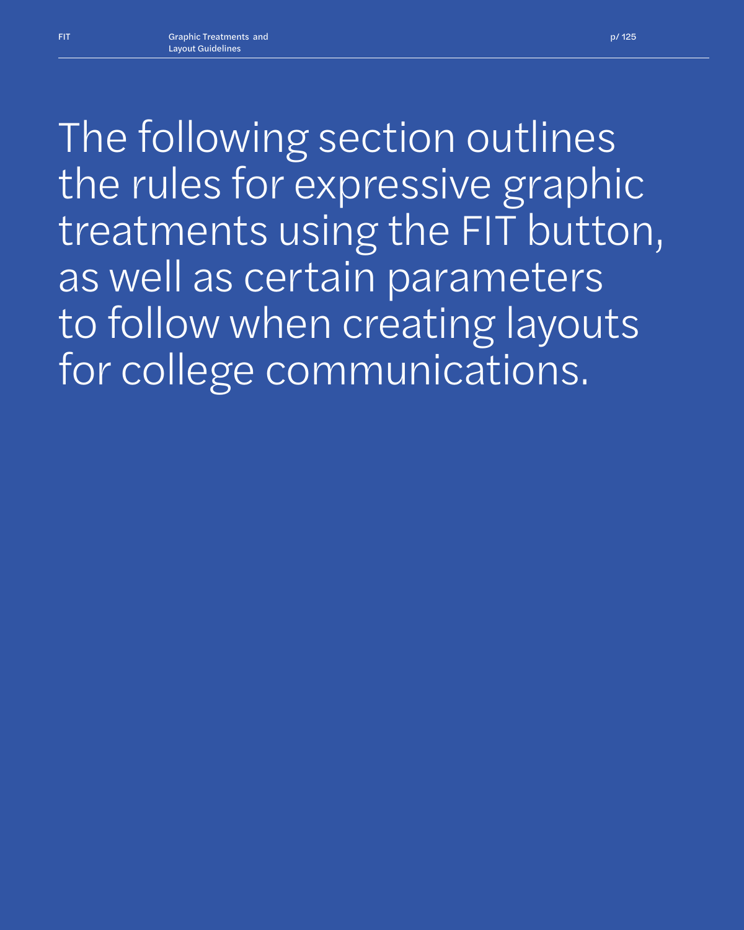*The following section outlines the rules for expressive graphic treatments using the FIT button, as well as certain parameters to follow when creating layouts for college communications.*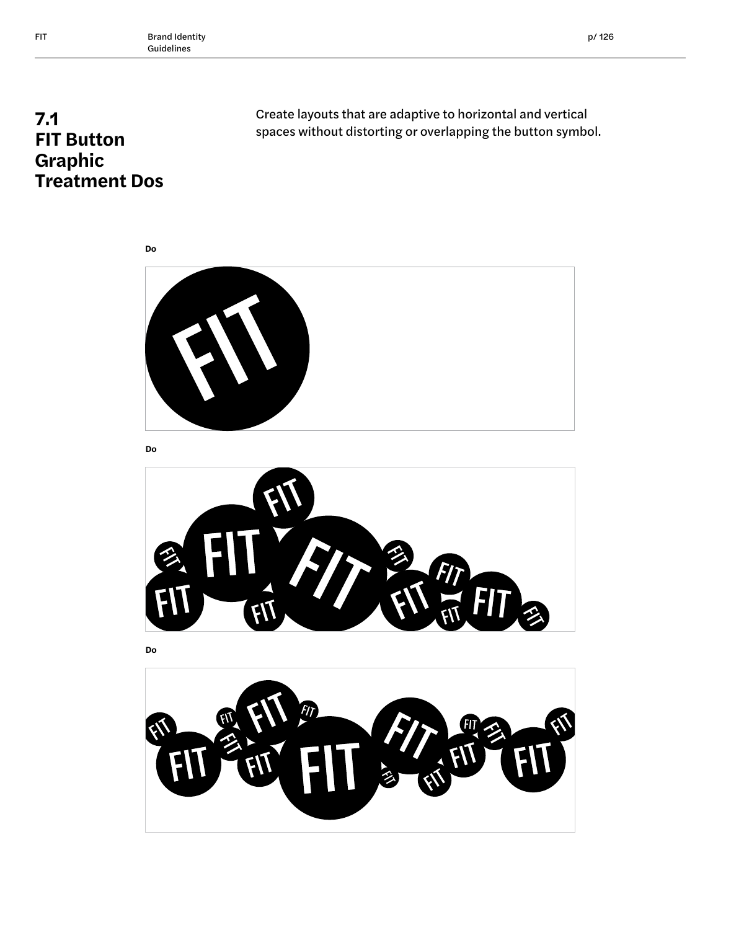# **7.1 FIT Button Graphic Treatment Dos**

Create layouts that are adaptive to horizontal and vertical spaces without distorting or overlapping the button symbol.



**Do**

**Do**





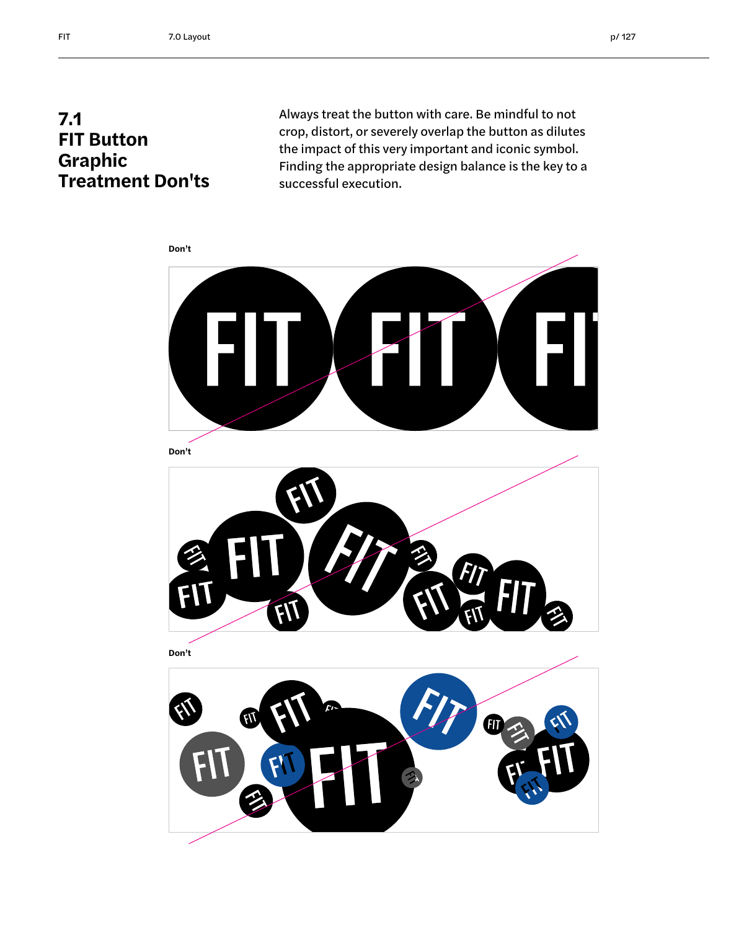### **7.1 FIT Button Graphic Treatment Don'ts**

Always treat the button with care. Be mindful to not crop, distort, or severely overlap the button as dilutes the impact of this very important and iconic symbol. Finding the appropriate design balance is the key to a successful execution.





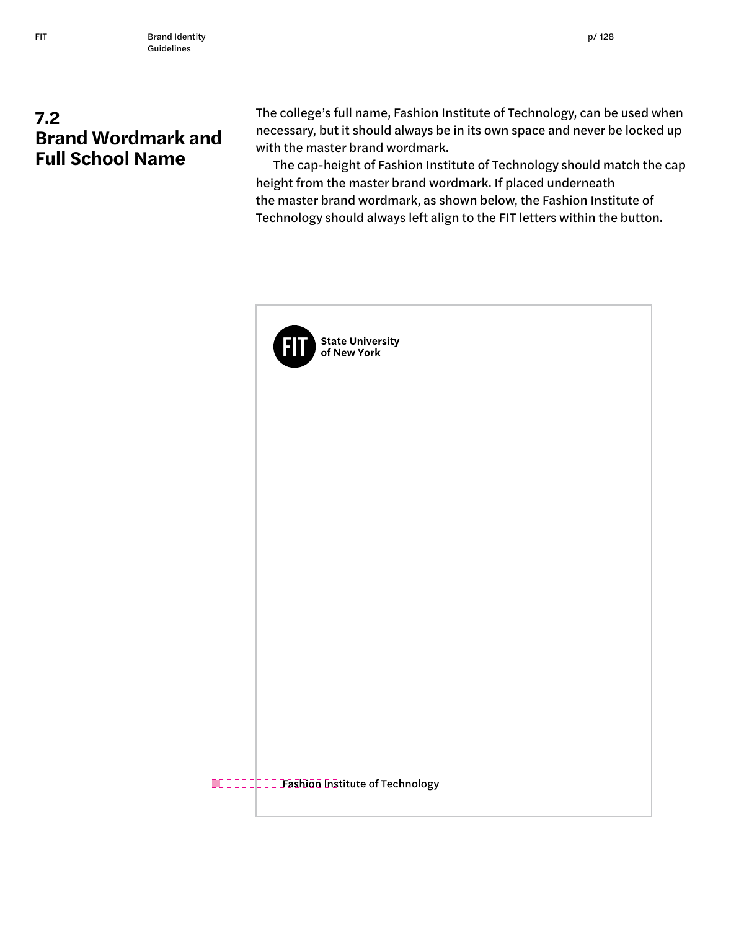# **7.2 Brand Wordmark and Full School Name**

The college's full name, Fashion Institute of Technology, can be used when necessary, but it should always be in its own space and never be locked up with the master brand wordmark.

The cap-height of Fashion Institute of Technology should match the cap height from the master brand wordmark. If placed underneath the master brand wordmark, as shown below, the Fashion Institute of Technology should always left align to the FIT letters within the button.

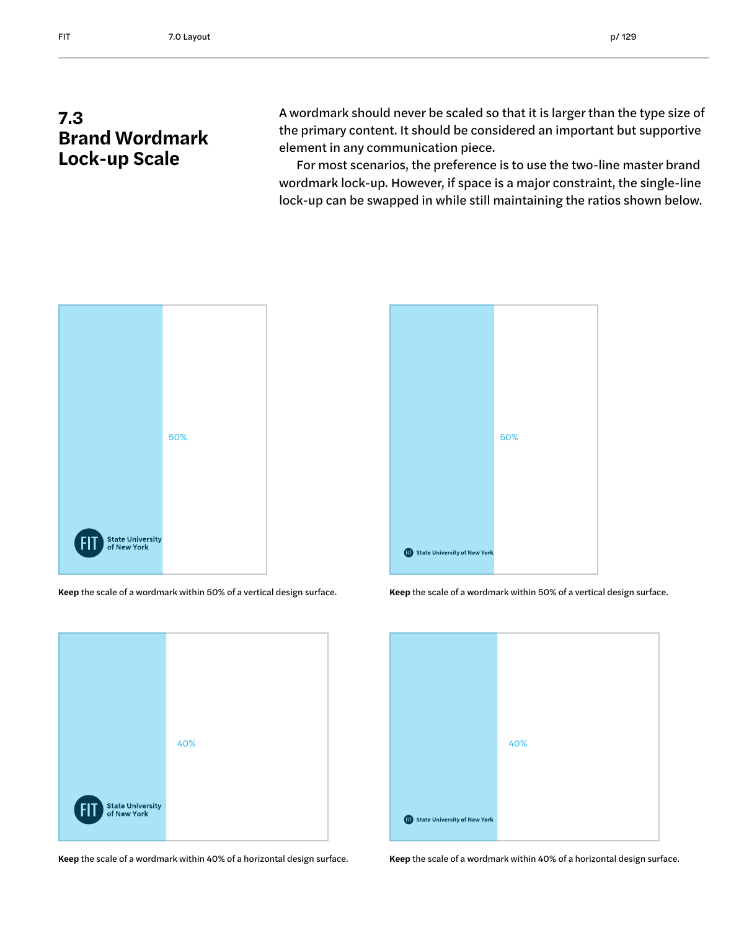A wordmark should never be scaled so that it is larger than the type size of the primary content. It should be considered an important but supportive element in any communication piece.

For most scenarios, the preference is to use the two-line master brand wordmark lock-up. However, if space is a major constraint, the single-line lock-up can be swapped in while still maintaining the ratios shown below.



**Keep** the scale of a wordmark within 50% of a vertical design surface. **Keep** the scale of a wordmark within 50% of a vertical design surface.



**Keep** the scale of a wordmark within 40% of a horizontal design surface. **Keep** the scale of a wordmark within 40% of a horizontal design surface.



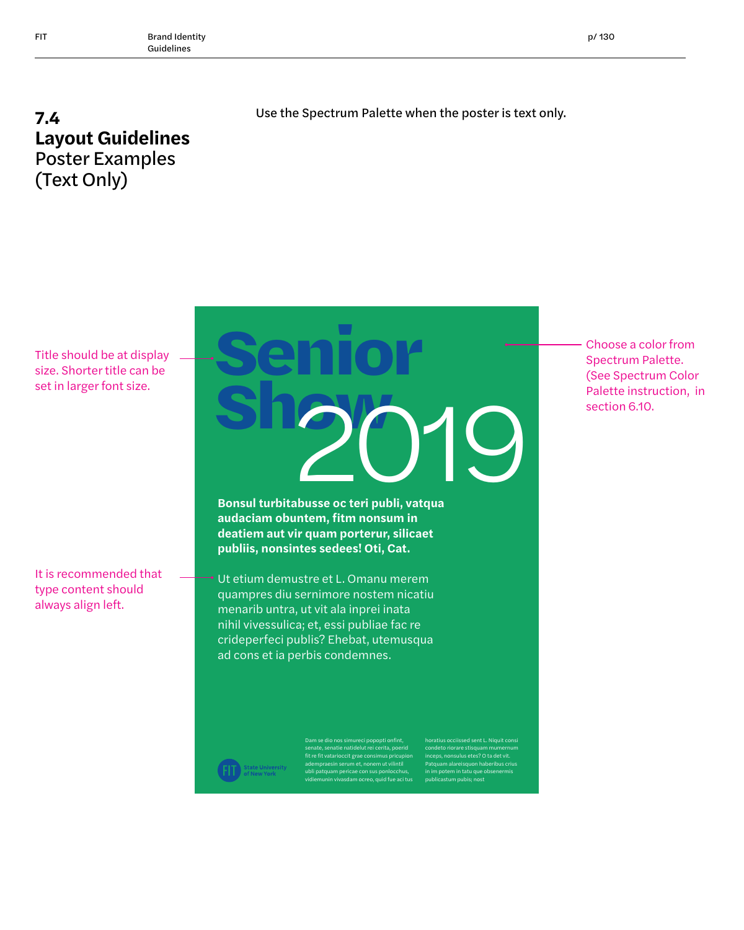### **7.4 Layout Guidelines** Poster Examples (Text Only)

Use the Spectrum Palette when the poster is text only.

Title should be at display size. Shorter title can be set in larger font size.

It is recommended that type content should always align left.



**Bonsul turbitabusse oc teri publi, vatqua audaciam obuntem, fitm nonsum in deatiem aut vir quam porterur, silicaet publiis, nonsintes sedees! Oti, Cat.**

Ut etium demustre et L. Omanu merem quampres diu sernimore nostem nicatiu menarib untra, ut vit ala inprei inata nihil vivessulica; et, essi publiae fac re crideperfeci publis? Ehebat, utemusqua ad cons et ia perbis condemnes.

> Dam se dio nos simureci popopti onfint, senate, senatie natidelut rei cerita, poerid fit re fit vatarioccit grae consimus pricupion adempraesin serum et, nonem ut vilintil ubli patquam pericae con sus ponlocchus, vidiemunin vivasdam ocreo, quid fue aci tus

horatius occiissed sent L. Niquit consi condeto riorare stisquam mumernum inceps, nonsulus etes? O ta det vit. Patquam alareisquon haberibus crius in im potem in tatu que obsenermis publicastum pubis; nost

Choose a color from Spectrum Palette. (See Spectrum Color Palette instruction, in section 6.10.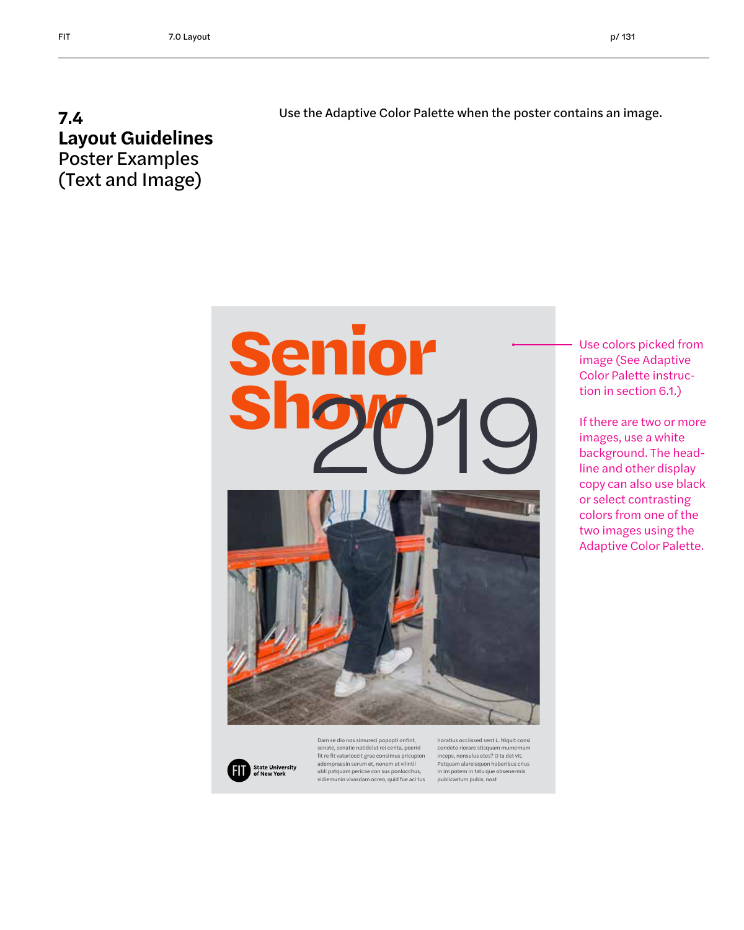#### **7.4 Layout Guidelines** Poster Examples (Text and Image)

Use the Adaptive Color Palette when the poster contains an image.



Use colors picked from image (See Adaptive Color Palette instruction in section 6.1.)

If there are two or more images, use a white background. The headline and other display copy can also use black or select contrasting colors from one of the two images using the Adaptive Color Palette.



Dam se dio nos simureci popopti onfint, senate, senatie natidelut rei cerita, poerid fit re fit vatarioccit grae consimus pricupion adempraesin serum et, nonem ut vilintil ubli patquam pericae con sus ponlocchus, vidiemunin vivasdam ocreo, quid fue aci tus horatius occiissed sent L. Niquit consi condeto riorare stisquam mumernum inceps, nonsulus etes? O ta det vit. Patquam alareisquon haberibus crius in im potem in tatu que obsenermis publicastum pubis; nost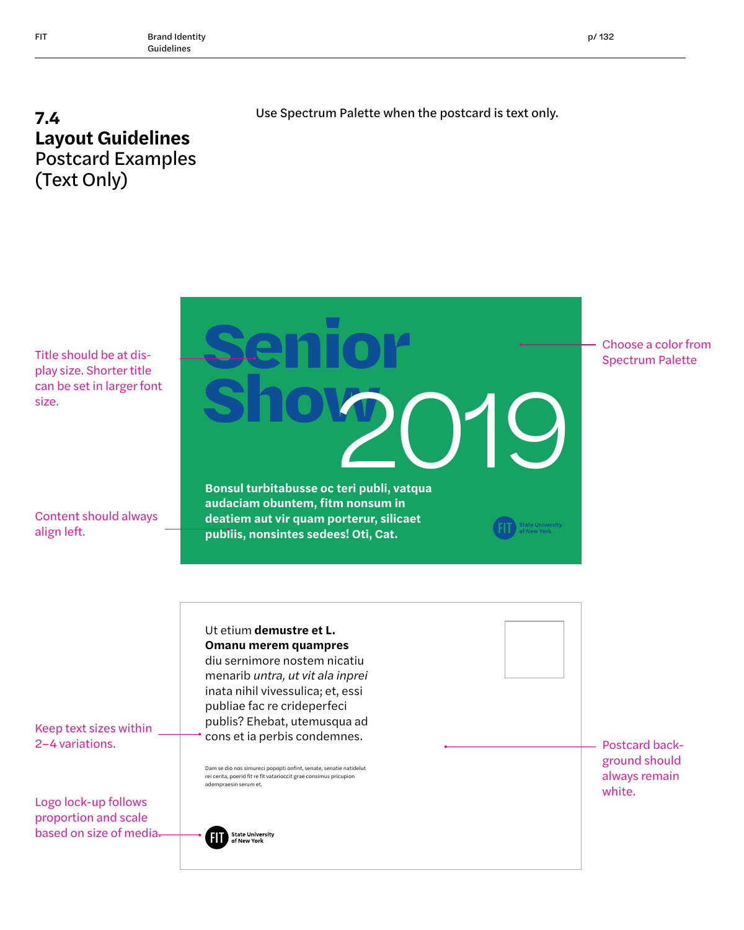#### **7.4 Layout Guidelines** Postcard Examples (Text Only)

Use Spectrum Palette when the postcard is text only.

Title should be at display size. Shorter title can be set in larger font size.

Content should always align left.

**Bonsul turbitabusse oc teri publi, vatqua audaciam obuntem, fitm nonsum in deatiem aut vir quam porterur, silicaet publiis, nonsintes sedees! Oti, Cat.** Choose a color from Spectrum Palette **Senior** Shov<sup>20</sup>19 Dam se dio nos simureci popopti onfint, senate, senatie natidelut rei cerita, poerid fit re fit vatarioccit grae consimus pricupion Ut etium **demustre et L. Omanu merem quampres**  diu sernimore nostem nicatiu menarib *untra, ut vit ala inprei*  inata nihil vivessulica; et, essi publiae fac re crideperfeci publis? Ehebat, utemusqua ad cons et ia perbis condemnes.

Postcard background should always remain white.

Keep text sizes within 2–4 variations.

Logo lock-up follows proportion and scale based on size of media.

**State University**<br>of New York .<br>Ali

adempraesin serum et.